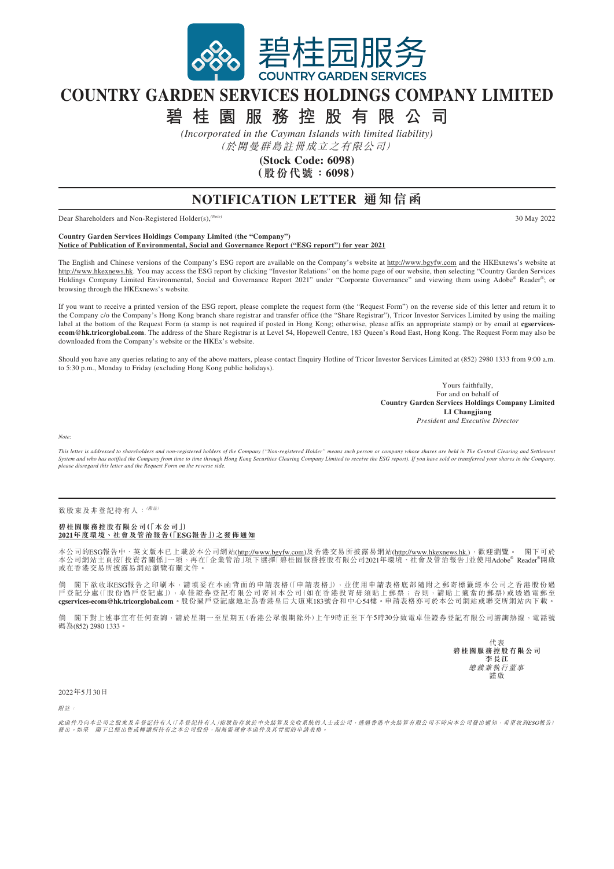

## **COUNTRY GARDEN SERVICES HOLDINGS COMPANY LIMITED**

**碧桂園服務控股有限公司**

*(Incorporated in the Cayman Islands with limited liability)*

(於開曼群島註冊成立之有限公司)

**(Stock Code: 6098) (股份代號:6098)**

## **NOTIFICATION LETTER 通知信函**

Dear Shareholders and Non-Registered Holder(s),*(Note)* 30 May 2022

**Country Garden Services Holdings Company Limited (the "Company") Notice of Publication of Environmental, Social and Governance Report ("ESG report") for year 2021**

The English and Chinese versions of the Company's ESG report are available on the Company's website at http://www.bgyfw.com and the HKExnews's website at http://www.hkexnews.hk. You may access the ESG report by clicking "Investor Relations" on the home page of our website, then selecting "Country Garden Services Holdings Company Limited Environmental, Social and Governance Report 2021" under "Corporate Governance" and viewing them using Adobe® Reader®; or browsing through the HKExnews's website.

If you want to receive a printed version of the ESG report, please complete the request form (the "Request Form") on the reverse side of this letter and return it to the Company c/o the Company's Hong Kong branch share registrar and transfer office (the "Share Registrar"), Tricor Investor Services Limited by using the mailing label at the bottom of the Request Form (a stamp is not required if posted in Hong Kong; otherwise, please affix an appropriate stamp) or by email at **[cgservices](mailto:cgservices-ecom%40hk.tricorglobal.com?subject=)[ecom@hk.tricorglobal.com](mailto:cgservices-ecom%40hk.tricorglobal.com?subject=)** . The address of the Share Registrar is at Level 54, Hopewell Centre, 183 Queen's Road East, Hong Kong. The Request Form may also be downloaded from the Company's website or the HKEx's website.

Should you have any queries relating to any of the above matters, please contact Enquiry Hotline of Tricor Investor Services Limited at (852) 2980 1333 from 9:00 a.m. to 5:30 p.m., Monday to Friday (excluding Hong Kong public holidays).

> Yours faithfully, For and on behalf of **Country Garden Services Holdings Company Limited LI Changjiang** *President and Executive Director*

*Note:*

*This letter is addressed to shareholders and non-registered holders of the Company ("Non-registered Holder" means such person or company whose shares are held in The Central Clearing and Settlement System and who has notified the Company from time to time through Hong Kong Securities Clearing Company Limited to receive the ESG report). If you have sold or transferred your shares in the Company,*  $\rho$  and  $\rho$  and  $\r$ *please disregard this letter and the Request Form on the reverse side.*

致股東及非登記持有人:( $M$ 註)

## **碧桂園服務控股有限公司(「本公司」) 2021年度環境、社會及管治報告(「ESG報告」)之發佈通知**

本公司的ESG報告中、英文版本已上載於本公司網站(<u>http://www.bgyfw.com</u>)及香港交易所披露易網站(<u>http://www.hkexnews.hk.</u>),歡迎瀏覽。 閣下可於<br>本公司網站主頁按「投資者關係」一項,再在「企業管治」項下選擇「碧桂園服務控股有限公司2021年環境、社會及管治報告」並使用Adobe® Reader®開啟 或在香港交易所披露易網站瀏覽有關文件。

倘 閣下欲收取ESG報告之印刷本,請填妥在本函背面的申請表格(「申請表格」),並使用申請表格底部隨附之郵寄標籤經本公司之香港股份過 戶登記分處(「股份過戶登記處」),卓佳證券登記有限公司寄回本公司(如在香港投寄毋須貼上郵票;否則,請貼上適當的郵票)或透過電郵至<br>**[cgservices-ecom@hk.tricorglobal.com](mailto:cgservices-ecom%40hk.tricorglobal.com?subject=)**。股份過戶登記處地址為香港皇后大道東183號合和中心54樓。申請表格亦可於本公司網站或聯交所網站內下載。

備 閣下對上述事宜有任何查詢,請於星期一至星期五(香港公眾假期除外)上午9時正至下午5時30分致電卓佳證券登記有限公司諮詢熱線,電話號 碼為(852) 2980 1333

> 代表 **碧桂園服務控股有限公司 李長江** 總裁兼執行董事 謹啟

2022年5月30日

附註:

此函件乃向本公司之股東及非登記持有人(「非登記持有人」指股份存放於中央結算及交收系統的人士或公司,透過香港中央結算有限公司不時向本公司發出通知,希望收到ESG報告)<br>發出。如果 閣下已經出售或轉讓所持有之本公司股份,則無需理會本函件及其背面的申請表格。